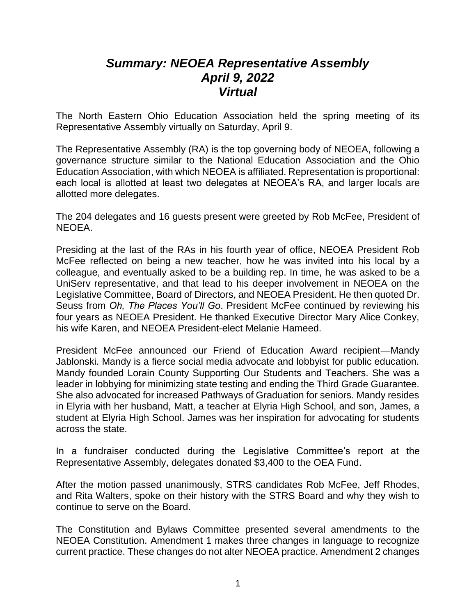## *Summary: NEOEA Representative Assembly April 9, 2022 Virtual*

The North Eastern Ohio Education Association held the spring meeting of its Representative Assembly virtually on Saturday, April 9.

The Representative Assembly (RA) is the top governing body of NEOEA, following a governance structure similar to the National Education Association and the Ohio Education Association, with which NEOEA is affiliated. Representation is proportional: each local is allotted at least two delegates at NEOEA's RA, and larger locals are allotted more delegates.

The 204 delegates and 16 guests present were greeted by Rob McFee, President of NEOEA.

Presiding at the last of the RAs in his fourth year of office, NEOEA President Rob McFee reflected on being a new teacher, how he was invited into his local by a colleague, and eventually asked to be a building rep. In time, he was asked to be a UniServ representative, and that lead to his deeper involvement in NEOEA on the Legislative Committee, Board of Directors, and NEOEA President. He then quoted Dr. Seuss from *Oh, The Places You'll Go*. President McFee continued by reviewing his four years as NEOEA President. He thanked Executive Director Mary Alice Conkey, his wife Karen, and NEOEA President-elect Melanie Hameed.

President McFee announced our Friend of Education Award recipient—Mandy Jablonski. Mandy is a fierce social media advocate and lobbyist for public education. Mandy founded Lorain County Supporting Our Students and Teachers. She was a leader in lobbying for minimizing state testing and ending the Third Grade Guarantee. She also advocated for increased Pathways of Graduation for seniors. Mandy resides in Elyria with her husband, Matt, a teacher at Elyria High School, and son, James, a student at Elyria High School. James was her inspiration for advocating for students across the state.

In a fundraiser conducted during the Legislative Committee's report at the Representative Assembly, delegates donated \$3,400 to the OEA Fund.

After the motion passed unanimously, STRS candidates Rob McFee, Jeff Rhodes, and Rita Walters, spoke on their history with the STRS Board and why they wish to continue to serve on the Board.

The Constitution and Bylaws Committee presented several amendments to the NEOEA Constitution. Amendment 1 makes three changes in language to recognize current practice. These changes do not alter NEOEA practice. Amendment 2 changes